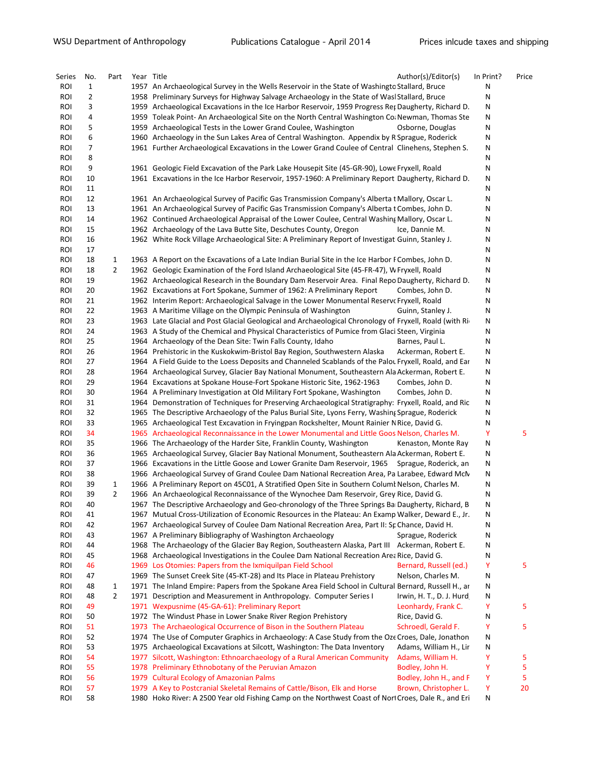| Series     | No.          | Part           | Year Title |                                                                                                        | Author(s)/Editor(s)      | In Print?    | Price |
|------------|--------------|----------------|------------|--------------------------------------------------------------------------------------------------------|--------------------------|--------------|-------|
| <b>ROI</b> | $\mathbf{1}$ |                |            | 1957 An Archaeological Survey in the Wells Reservoir in the State of Washingto Stallard, Bruce         |                          | N            |       |
| <b>ROI</b> | 2            |                |            | 1958 Preliminary Surveys for Highway Salvage Archaeology in the State of Wasl Stallard, Bruce          |                          | N            |       |
| <b>ROI</b> | 3            |                |            | 1959 Archaeological Excavations in the Ice Harbor Reservoir, 1959 Progress Ret Daugherty, Richard D.   |                          | N            |       |
| <b>ROI</b> | 4            |                |            | 1959 Toleak Point- An Archaeological Site on the North Central Washington Co: Newman, Thomas Ste       |                          | N            |       |
| <b>ROI</b> | 5            |                |            | 1959 Archaeological Tests in the Lower Grand Coulee, Washington                                        | Osborne, Douglas         | N            |       |
| <b>ROI</b> | 6            |                |            | 1960 Archaeology in the Sun Lakes Area of Central Washington. Appendix by R Sprague, Roderick          |                          | N            |       |
| <b>ROI</b> | 7            |                |            | 1961 Further Archaeological Excavations in the Lower Grand Coulee of Central Clinehens, Stephen S.     |                          | N            |       |
| roi        | 8            |                |            |                                                                                                        |                          | N            |       |
| <b>ROI</b> | 9            |                |            | 1961 Geologic Field Excavation of the Park Lake Housepit Site (45-GR-90), Lowe Fryxell, Roald          |                          | N            |       |
| <b>ROI</b> | 10           |                |            | 1961 Excavations in the Ice Harbor Reservoir, 1957-1960: A Preliminary Report Daugherty, Richard D.    |                          | N            |       |
| <b>ROI</b> | 11           |                |            |                                                                                                        |                          | N            |       |
| <b>ROI</b> | 12           |                |            | 1961 An Archaeological Survey of Pacific Gas Transmission Company's Alberta t Mallory, Oscar L.        |                          | N            |       |
| <b>ROI</b> | 13           |                |            | 1961 An Archaeological Survey of Pacific Gas Transmission Company's Alberta t Combes, John D.          |                          | N            |       |
| <b>ROI</b> | 14           |                |            | 1962 Continued Archaeological Appraisal of the Lower Coulee, Central Washing Mallory, Oscar L.         |                          | N            |       |
| <b>ROI</b> | 15           |                |            | 1962 Archaeology of the Lava Butte Site, Deschutes County, Oregon                                      | Ice, Dannie M.           | N            |       |
| <b>ROI</b> | 16           |                |            | 1962 White Rock Village Archaeological Site: A Preliminary Report of Investigati Guinn, Stanley J.     |                          | N            |       |
| <b>ROI</b> | 17           |                |            |                                                                                                        |                          | N            |       |
| <b>ROI</b> | 18           | 1              |            | 1963 A Report on the Excavations of a Late Indian Burial Site in the Ice Harbor F Combes, John D.      |                          | N            |       |
| <b>ROI</b> | 18           | $\overline{2}$ |            | 1962 Geologic Examination of the Ford Island Archaeological Site (45-FR-47), W Fryxell, Roald          |                          | N            |       |
| <b>ROI</b> | 19           |                |            | 1962 Archaeological Research in the Boundary Dam Reservoir Area. Final Repo Daugherty, Richard D.      |                          | N            |       |
| <b>ROI</b> | 20           |                |            | 1962 Excavations at Fort Spokane, Summer of 1962: A Preliminary Report                                 | Combes, John D.          | N            |       |
| <b>ROI</b> | 21           |                |            | 1962 Interim Report: Archaeological Salvage in the Lower Monumental Reservc Fryxell, Roald             |                          | N            |       |
| <b>ROI</b> | 22           |                |            | 1963 A Maritime Village on the Olympic Peninsula of Washington                                         | Guinn, Stanley J.        | N            |       |
| <b>ROI</b> | 23           |                |            | 1963 Late Glacial and Post Glacial Geological and Archaeological Chronology of Fryxell, Roald (with Ri |                          | N            |       |
| <b>ROI</b> | 24           |                |            | 1963 A Study of the Chemical and Physical Characteristics of Pumice from Glaci Steen, Virginia         |                          | N            |       |
| <b>ROI</b> | 25           |                |            | 1964 Archaeology of the Dean Site: Twin Falls County, Idaho                                            | Barnes, Paul L.          | N            |       |
| <b>ROI</b> | 26           |                |            | 1964 Prehistoric in the Kuskokwim-Bristol Bay Region, Southwestern Alaska                              | Ackerman, Robert E.      | N            |       |
| <b>ROI</b> | 27           |                |            | 1964 A Field Guide to the Loess Deposits and Channeled Scablands of the Palou Fryxell, Roald, and Ear  |                          | N            |       |
| <b>ROI</b> | 28           |                |            | 1964 Archaeological Survey, Glacier Bay National Monument, Southeastern Ala Ackerman, Robert E.        |                          | N            |       |
| <b>ROI</b> | 29           |                |            | 1964 Excavations at Spokane House-Fort Spokane Historic Site, 1962-1963                                | Combes, John D.          | N            |       |
| <b>ROI</b> | 30           |                |            | 1964 A Preliminary Investigation at Old Military Fort Spokane, Washington                              | Combes, John D.          | N            |       |
| <b>ROI</b> | 31           |                |            | 1964 Demonstration of Techniques for Preserving Archaeological Stratigraphy: Fryxell, Roald, and Ric   |                          | N            |       |
| <b>ROI</b> | 32           |                |            | 1965 The Descriptive Archaeology of the Palus Burial Site, Lyons Ferry, Washing Sprague, Roderick      |                          | N            |       |
| <b>ROI</b> | 33           |                |            | 1965 Archaeological Test Excavation in Fryingpan Rockshelter, Mount Rainier N Rice, David G.           |                          | N            |       |
| <b>ROI</b> | 34           |                |            | 1965 Archaeological Reconnaissance in the Lower Monumental and Little Goos Nelson, Charles M.          |                          | Y            | 5     |
| <b>ROI</b> | 35           |                |            | 1966 The Archaeology of the Harder Site, Franklin County, Washington                                   | Kenaston, Monte Ray      | N            |       |
| <b>ROI</b> | 36           |                | 1965       | Archaeological Survey, Glacier Bay National Monument, Southeastern Ala Ackerman, Robert E.             |                          | N            |       |
| <b>ROI</b> | 37           |                |            | 1966 Excavations in the Little Goose and Lower Granite Dam Reservoir, 1965 Sprague, Roderick, an       |                          | N            |       |
| <b>ROI</b> | 38           |                |            | 1966 Archaeological Survey of Grand Coulee Dam National Recreation Area, Pa Larabee, Edward McN        |                          | N            |       |
| <b>ROI</b> | 39           | 1              |            | 1966 A Preliminary Report on 45C01, A Stratified Open Site in Southern Columt Nelson, Charles M.       |                          | N            |       |
| roi        | 39           | 2              |            | 1966 An Archaeological Reconnaissance of the Wynochee Dam Reservoir, Grey Rice, David G.               |                          | N            |       |
| ROI        | 40           |                |            | 1967 The Descriptive Archaeology and Geo-chronology of the Three Springs Ba Daugherty, Richard, B      |                          | N            |       |
| <b>ROI</b> | 41           |                |            | 1967 Mutual Cross-Utilization of Economic Resources in the Plateau: An Examp Walker, Deward E., Jr.    |                          | N            |       |
| ROI        | 42           |                |            | 1967 Archaeological Survey of Coulee Dam National Recreation Area, Part II: Sp Chance, David H.        |                          | N            |       |
| ROI        | 43           |                |            | 1967 A Preliminary Bibliography of Washington Archaeology                                              | Sprague, Roderick        | N            |       |
| <b>ROI</b> | 44           |                |            | 1968 The Archaeology of the Glacier Bay Region, Southeastern Alaska, Part III Ackerman, Robert E.      |                          | N            |       |
| ROI        | 45           |                |            | 1968 Archaeological Investigations in the Coulee Dam National Recreation Area Rice, David G.           |                          | N            |       |
| <b>ROI</b> | 46           |                | 1969       | Los Otomies: Papers from the Ixmiquilpan Field School                                                  | Bernard, Russell (ed.)   | Y            | 5     |
| <b>ROI</b> | 47           |                |            | 1969 The Sunset Creek Site (45-KT-28) and Its Place in Plateau Prehistory                              | Nelson, Charles M.       | N            |       |
| <b>ROI</b> | 48           | 1              |            | 1971 The Inland Empire: Papers from the Spokane Area Field School in Cultural Bernard, Russell H., ar  |                          | N            |       |
| <b>ROI</b> | 48           | $\overline{2}$ |            | 1971 Description and Measurement in Anthropology. Computer Series I                                    | Irwin, H. T., D. J. Hurd | Ν            |       |
| <b>ROI</b> | 49           |                |            | 1971 Wexpusnime (45-GA-61): Preliminary Report                                                         | Leonhardy, Frank C.      | Y            | 5     |
| <b>ROI</b> | 50           |                |            | 1972 The Windust Phase in Lower Snake River Region Prehistory                                          | Rice, David G.           | N            |       |
| <b>ROI</b> | 51           |                |            | 1973 The Archaeological Occurrence of Bison in the Southern Plateau                                    | Schroedl, Gerald F.      | Y            | 5     |
| <b>ROI</b> | 52           |                |            | 1974 The Use of Computer Graphics in Archaeology: A Case Study from the Oze Croes, Dale, Jonathon      |                          | N            |       |
| <b>ROI</b> | 53           |                |            | 1975 Archaeological Excavations at Silcott, Washington: The Data Inventory                             | Adams, William H., Lir   | N            |       |
| <b>ROI</b> | 54           |                |            | 1977 Silcott, Washington: Ethnoarchaeology of a Rural American Community                               | Adams, William H.        | <sup>V</sup> | 5     |
| <b>ROI</b> | 55           |                |            | 1978 Preliminary Ethnobotany of the Peruvian Amazon                                                    | Bodley, John H.          | Y            | 5     |
| <b>ROI</b> | 56           |                |            | 1979 Cultural Ecology of Amazonian Palms                                                               | Bodley, John H., and F.  | Y            | 5     |
| <b>ROI</b> | 57           |                |            | 1979 A Key to Postcranial Skeletal Remains of Cattle/Bison, Elk and Horse                              | Brown, Christopher L.    | Y            | 20    |
| roi        | 58           |                |            | 1980 Hoko River: A 2500 Year old Fishing Camp on the Northwest Coast of Nort Croes, Dale R., and Eri   |                          | N            |       |
|            |              |                |            |                                                                                                        |                          |              |       |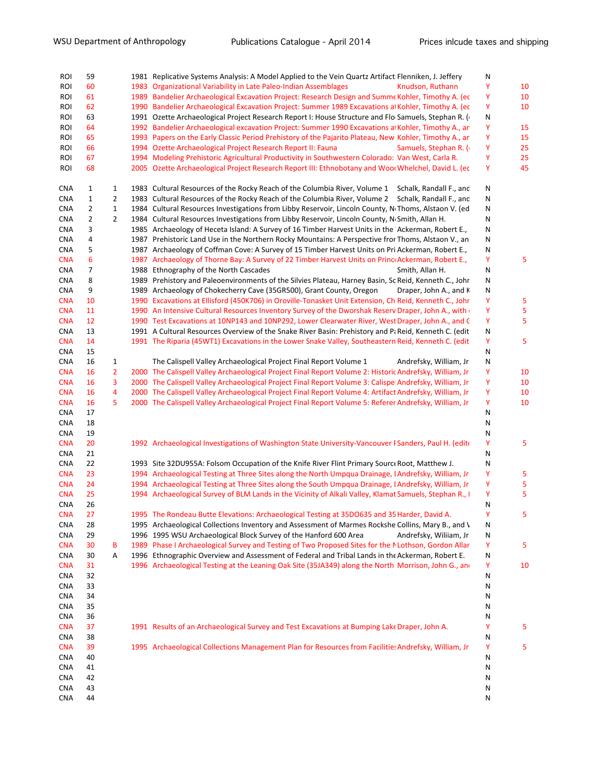| ROI                      | 59             |        | 1981 Replicative Systems Analysis: A Model Applied to the Vein Quartz Artifact: Flenniken, J. Jeffery                                                                                                              | Ν      |           |
|--------------------------|----------------|--------|--------------------------------------------------------------------------------------------------------------------------------------------------------------------------------------------------------------------|--------|-----------|
| ROI                      | 60             |        | 1983 Organizational Variability in Late Paleo-Indian Assemblages<br>Knudson, Ruthann                                                                                                                               | Υ      | 10        |
| ROI                      | 61             |        | 1989 Bandelier Archaeological Excavation Project: Research Design and Summe Kohler, Timothy A. (ec                                                                                                                 | Υ      | 10        |
| ROI                      | 62             |        | 1990 Bandelier Archaeological Excavation Project: Summer 1989 Excavations at Kohler, Timothy A. (eq.                                                                                                               | Υ      | 10        |
| ROI                      | 63             |        | 1991 Ozette Archaeological Project Research Report I: House Structure and Flo Samuels, Stephan R. (                                                                                                                | Ν      |           |
| ROI                      | 64             |        | 1992 Bandelier Archaeological excavation Project: Summer 1990 Excavations at Kohler, Timothy A., ar                                                                                                                | Υ      | 15        |
| ROI                      | 65             |        | 1993 Papers on the Early Classic Period Prehistory of the Pajarito Plateau, New Kohler, Timothy A., ar                                                                                                             | Υ      | 15        |
| ROI                      | 66             |        | 1994 Ozette Archaeological Project Research Report II: Fauna<br>Samuels, Stephan R. (                                                                                                                              | Y      | 25        |
| ROI                      | 67             |        | 1994 Modeling Prehistoric Agricultural Productivity in Southwestern Colorado: Van West, Carla R.                                                                                                                   | Y      | 25        |
| ROI                      | 68             |        | 2005 Ozette Archaeological Project Research Report III: Ethnobotany and Wood Whelchel, David L. (ec                                                                                                                | Υ      | 45        |
| CNA                      | 1              | 1      | 1983 Cultural Resources of the Rocky Reach of the Columbia River, Volume 1<br>Schalk, Randall F., and                                                                                                              | Ν      |           |
| CNA                      | $\mathbf{1}$   | 2      | 1983 Cultural Resources of the Rocky Reach of the Columbia River, Volume 2 Schalk, Randall F., anc                                                                                                                 | Ν      |           |
| <b>CNA</b>               | $\overline{2}$ | 1      | 1984 Cultural Resources Investigations from Libby Reservoir, Lincoln County, NrThoms, Alstaon V. (ed                                                                                                               | Ν      |           |
| <b>CNA</b>               | $\overline{2}$ | 2      | 1984 Cultural Resources Investigations from Libby Reservoir, Lincoln County, N(Smith, Allan H.                                                                                                                     | Ν      |           |
| <b>CNA</b>               | 3              |        | 1985 Archaeology of Heceta Island: A Survey of 16 Timber Harvest Units in the Ackerman, Robert E.,                                                                                                                 | N      |           |
| <b>CNA</b>               | 4              |        | 1987 Prehistoric Land Use in the Northern Rocky Mountains: A Perspective fror Thoms, Alstaon V., an                                                                                                                | Ν      |           |
| <b>CNA</b>               | 5              |        | 1987 Archaeology of Coffman Cove: A Survey of 15 Timber Harvest Units on Pri Ackerman, Robert E.,                                                                                                                  | N      |           |
| <b>CNA</b>               | 6              |        | 1987 Archaeology of Thorne Bay: A Survey of 22 Timber Harvest Units on Princ Ackerman, Robert E.,                                                                                                                  | Υ      | 5         |
| <b>CNA</b>               | $\overline{7}$ |        | 1988 Ethnography of the North Cascades<br>Smith, Allan H.                                                                                                                                                          | Ν      |           |
| <b>CNA</b>               | 8              |        | 1989 Prehistory and Paleoenvironments of the Silvies Plateau, Harney Basin, Sc Reid, Kenneth C., Johr                                                                                                              | Ν      |           |
| <b>CNA</b>               | 9              |        | 1989 Archaeology of Chokecherry Cave (35GR500), Grant County, Oregon<br>Draper, John A., and K                                                                                                                     | Ν      |           |
| <b>CNA</b>               | 10             |        | 1990 Excavations at Ellisford (450K706) in Oroville-Tonasket Unit Extension, Ch Reid, Kenneth C., Johr                                                                                                             | Υ      | 5         |
| <b>CNA</b>               | 11             |        | 1990 An Intensive Cultural Resources Inventory Survey of the Dworshak Reserv Draper, John A., with                                                                                                                 | Υ      | ${\sf 5}$ |
| <b>CNA</b>               | 12             |        | 1990 Test Excavations at 10NP143 and 10NP292, Lower Clearwater River, West Draper, John A., and C                                                                                                                  | Υ      | 5         |
| <b>CNA</b>               | 13             |        | 1991 A Cultural Resources Overview of the Snake River Basin: Prehistory and PaReid, Kenneth C. (edit                                                                                                               | Ν      |           |
| <b>CNA</b>               | 14             |        | 1991 The Riparia (45WT1) Excavations in the Lower Snake Valley, Southeastern Reid, Kenneth C. (edit                                                                                                                | Y      | 5         |
| CNA                      | 15             |        |                                                                                                                                                                                                                    | Ν      |           |
| <b>CNA</b>               | 16             | 1      | The Calispell Valley Archaeological Project Final Report Volume 1<br>Andrefsky, William, Jr                                                                                                                        | N      |           |
| <b>CNA</b>               | 16<br>16       | 2<br>3 | 2000 The Calispell Valley Archaeological Project Final Report Volume 2: Historic Andrefsky, William, Jr                                                                                                            | Υ<br>Υ | 10<br>10  |
| <b>CNA</b>               | 16             | 4      | 2000 The Calispell Valley Archaeological Project Final Report Volume 3: Calispel Andrefsky, William, Jr<br>2000 The Calispell Valley Archaeological Project Final Report Volume 4: Artifact Andrefsky, William, Jr | Υ      | 10        |
| <b>CNA</b><br><b>CNA</b> | 16             | 5      | 2000 The Calispell Valley Archaeological Project Final Report Volume 5: Referer Andrefsky, William, Jr                                                                                                             | Y      | 10        |
| <b>CNA</b>               | 17             |        |                                                                                                                                                                                                                    | Ν      |           |
| <b>CNA</b>               | 18             |        |                                                                                                                                                                                                                    | Ν      |           |
| <b>CNA</b>               | 19             |        |                                                                                                                                                                                                                    | Ν      |           |
| <b>CNA</b>               | 20             |        | 1992 Archaeological Investigations of Washington State University-Vancouver FSanders, Paul H. (edito                                                                                                               | Υ      | 5         |
| <b>CNA</b>               | 21             |        |                                                                                                                                                                                                                    | Ν      |           |
| <b>CNA</b>               | 22             |        | 1993 Site 32DU955A: Folsom Occupation of the Knife River Flint Primary Source Root, Matthew J.                                                                                                                     | Ν      |           |
| <b>CNA</b>               | 23             |        | 1994 Archaeological Testing at Three Sites along the North Umpqua Drainage, I Andrefsky, William, Jr                                                                                                               | Y      | 5         |
| <b>CNA</b>               | 24             |        | 1994 Archaeological Testing at Three Sites along the South Umpqua Drainage, I Andrefsky, William, Jr                                                                                                               | Υ      | 5         |
| <b>CNA</b>               | 25             |        | 1994 Archaeological Survey of BLM Lands in the Vicinity of Alkali Valley, Klamat Samuels, Stephan R., I                                                                                                            | Y      | 5         |
| <b>CNA</b>               | 26             |        |                                                                                                                                                                                                                    | Ν      |           |
| <b>CNA</b>               | 27             |        | 1995 The Rondeau Butte Elevations: Archaeological Testing at 35DO635 and 35 Harder, David A.                                                                                                                       | Υ      | 5         |
| CNA                      | 28             |        | 1995 Archaeological Collections Inventory and Assessment of Marmes Rockshe Collins, Mary B., and V                                                                                                                 | Ν      |           |
| <b>CNA</b>               | 29             |        | 1996 1995 WSU Archaeological Block Survey of the Hanford 600 Area<br>Andrefsky, Wiliiam, Jr                                                                                                                        | Ν      |           |
| <b>CNA</b>               | 30             | В      | 1989 Phase I Archaeological Survey and Testing of Two Proposed Sites for the N Lothson, Gordon Allar                                                                                                               | Y      | 5         |
| CNA                      | 30             | Α      | 1996 Ethnographic Overview and Assessment of Federal and Tribal Lands in the Ackerman, Robert E.                                                                                                                   | N      |           |
| <b>CNA</b>               | 31             |        | 1996 Archaeological Testing at the Leaning Oak Site (35JA349) along the North Morrison, John G., and                                                                                                               | Y      | 10        |
| CNA                      | 32             |        |                                                                                                                                                                                                                    | N      |           |
| CNA                      | 33             |        |                                                                                                                                                                                                                    | N      |           |
| CNA                      | 34             |        |                                                                                                                                                                                                                    | N      |           |
| CNA                      | 35             |        |                                                                                                                                                                                                                    | N      |           |
| <b>CNA</b>               | 36             |        |                                                                                                                                                                                                                    | N      |           |
| <b>CNA</b>               | 37             |        | 1991 Results of an Archaeological Survey and Test Excavations at Bumping Lake Draper, John A.                                                                                                                      | Y      | 5         |
| CNA                      | 38             |        |                                                                                                                                                                                                                    | N      |           |
| <b>CNA</b>               | 39             |        | 1995 Archaeological Collections Management Plan for Resources from Facilitie: Andrefsky, William, Jr                                                                                                               | Y      | 5         |
| CNA                      | 40             |        |                                                                                                                                                                                                                    | N      |           |
| CNA                      | 41             |        |                                                                                                                                                                                                                    | N      |           |
| CNA                      | 42             |        |                                                                                                                                                                                                                    | N      |           |
| CNA                      | 43             |        |                                                                                                                                                                                                                    | N      |           |
| CNA                      | 44             |        |                                                                                                                                                                                                                    | Ν      |           |